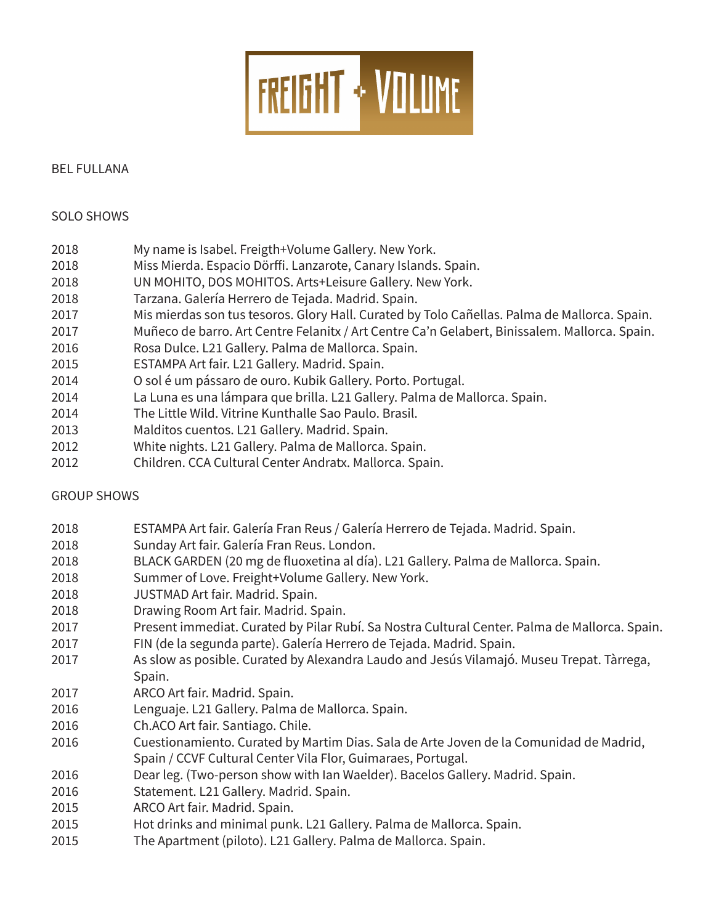

### BEL FULLANA

## SOLO SHOWS

- 2018 My name is Isabel. Freigth+Volume Gallery. New York.
- 2018 Miss Mierda. Espacio Dörffi. Lanzarote, Canary Islands. Spain.
- 2018 UN MOHITO, DOS MOHITOS. Arts+Leisure Gallery. New York.
- 2018 Tarzana. Galería Herrero de Tejada. Madrid. Spain.
- 2017 Mis mierdas son tus tesoros. Glory Hall. Curated by Tolo Cañellas. Palma de Mallorca. Spain.
- 2017 Muñeco de barro. Art Centre Felanitx / Art Centre Ca'n Gelabert, Binissalem. Mallorca. Spain.
- 2016 Rosa Dulce. L21 Gallery. Palma de Mallorca. Spain.
- 2015 ESTAMPA Art fair. L21 Gallery. Madrid. Spain.
- 2014 **O** sol é um pássaro de ouro. Kubik Gallery. Porto. Portugal.
- 2014 La Luna es una lámpara que brilla. L21 Gallery. Palma de Mallorca. Spain.
- 2014 The Little Wild. Vitrine Kunthalle Sao Paulo. Brasil.
- 2013 Malditos cuentos. L21 Gallery. Madrid. Spain.
- 2012 White nights. L21 Gallery. Palma de Mallorca. Spain.
- 2012 Children. CCA Cultural Center Andratx. Mallorca. Spain.

# GROUP SHOWS

- 2018 ESTAMPA Art fair. Galería Fran Reus / Galería Herrero de Tejada. Madrid. Spain.
- 2018 Sunday Art fair. Galería Fran Reus. London.
- 2018 BLACK GARDEN (20 mg de fluoxetina al día). L21 Gallery. Palma de Mallorca. Spain.
- 2018 Summer of Love. Freight+Volume Gallery. New York.
- 2018 JUSTMAD Art fair. Madrid. Spain.
- 2018 **Drawing Room Art fair. Madrid. Spain.**
- 2017 Present immediat. Curated by Pilar Rubí. Sa Nostra Cultural Center. Palma de Mallorca. Spain.
- 2017 FIN (de la segunda parte). Galería Herrero de Tejada. Madrid. Spain.
- 2017 As slow as posible. Curated by Alexandra Laudo and Jesús Vilamajó. Museu Trepat. Tàrrega, Spain.
- 2017 ARCO Art fair. Madrid. Spain.
- 2016 Lenguaje. L21 Gallery. Palma de Mallorca. Spain.
- 2016 Ch.ACO Art fair. Santiago. Chile.
- 2016 Cuestionamiento. Curated by Martim Dias. Sala de Arte Joven de la Comunidad de Madrid, Spain / CCVF Cultural Center Vila Flor, Guimaraes, Portugal.
- 2016 **Dear leg. (Two-person show with Ian Waelder). Bacelos Gallery. Madrid. Spain.**
- 2016 Statement. L21 Gallery. Madrid. Spain.
- 2015 ARCO Art fair. Madrid. Spain.
- 2015 Hot drinks and minimal punk. L21 Gallery. Palma de Mallorca. Spain.
- 2015 The Apartment (piloto). L21 Gallery. Palma de Mallorca. Spain.